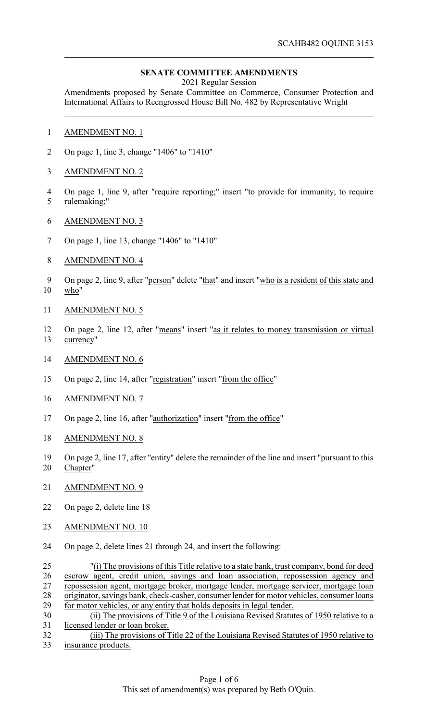## **SENATE COMMITTEE AMENDMENTS**

2021 Regular Session

Amendments proposed by Senate Committee on Commerce, Consumer Protection and International Affairs to Reengrossed House Bill No. 482 by Representative Wright

- AMENDMENT NO. 1
- On page 1, line 3, change "1406" to "1410"
- AMENDMENT NO. 2
- On page 1, line 9, after "require reporting;" insert "to provide for immunity; to require rulemaking;"
- AMENDMENT NO. 3
- On page 1, line 13, change "1406" to "1410"
- AMENDMENT NO. 4
- On page 2, line 9, after "person" delete "that" and insert "who is a resident of this state and who"
- AMENDMENT NO. 5
- On page 2, line 12, after "means" insert "as it relates to money transmission or virtual currency"
- AMENDMENT NO. 6
- On page 2, line 14, after "registration" insert "from the office"
- AMENDMENT NO. 7
- On page 2, line 16, after "authorization" insert "from the office"
- AMENDMENT NO. 8
- On page 2, line 17, after "entity" delete the remainder of the line and insert "pursuant to this Chapter"
- AMENDMENT NO. 9
- On page 2, delete line 18
- AMENDMENT NO. 10
- On page 2, delete lines 21 through 24, and insert the following:
- "(i) The provisions of this Title relative to a state bank, trust company, bond for deed escrow agent, credit union, savings and loan association, repossession agency and repossession agent, mortgage broker, mortgage lender, mortgage servicer, mortgage loan originator, savings bank, check-casher, consumer lender for motor vehicles, consumer loans for motor vehicles, or any entity that holds deposits in legal tender.
- (ii) The provisions of Title 9 of the Louisiana Revised Statutes of 1950 relative to a licensed lender or loan broker.
- 32 (iii) The provisions of Title 22 of the Louisiana Revised Statutes of 1950 relative to insurance products. insurance products.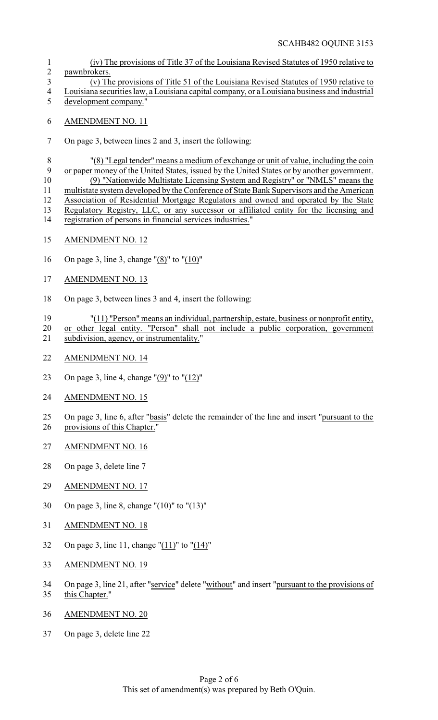SCAHB482 OQUINE 3153

- (iv) The provisions of Title 37 of the Louisiana Revised Statutes of 1950 relative to pawnbrokers.
- (v) The provisions of Title 51 of the Louisiana Revised Statutes of 1950 relative to Louisiana securities law, a Louisiana capital company, or a Louisiana business and industrial
- development company."
- AMENDMENT NO. 11
- On page 3, between lines 2 and 3, insert the following:

 "(8) "Legal tender" means a medium of exchange or unit of value, including the coin or paper money of the United States, issued by the United States or by another government. (9) "Nationwide Multistate Licensing System and Registry" or "NMLS" means the multistate system developed by the Conference of State Bank Supervisors and the American Association of Residential Mortgage Regulators and owned and operated by the State Regulatory Registry, LLC, or any successor or affiliated entity for the licensing and registration of persons in financial services industries."

- AMENDMENT NO. 12
- On page 3, line 3, change "(8)" to "(10)"
- AMENDMENT NO. 13
- On page 3, between lines 3 and 4, insert the following:
- "(11) "Person" means an individual, partnership, estate, business or nonprofit entity, or other legal entity. "Person" shall not include a public corporation, government
- subdivision, agency, or instrumentality."
- AMENDMENT NO. 14
- On page 3, line 4, change "(9)" to "(12)"
- AMENDMENT NO. 15
- On page 3, line 6, after "basis" delete the remainder of the line and insert "pursuant to the provisions of this Chapter."
- AMENDMENT NO. 16
- On page 3, delete line 7
- AMENDMENT NO. 17
- On page 3, line 8, change "(10)" to "(13)"
- AMENDMENT NO. 18
- On page 3, line 11, change "(11)" to "(14)"
- AMENDMENT NO. 19
- On page 3, line 21, after "service" delete "without" and insert "pursuant to the provisions of this Chapter."
- AMENDMENT NO. 20
- On page 3, delete line 22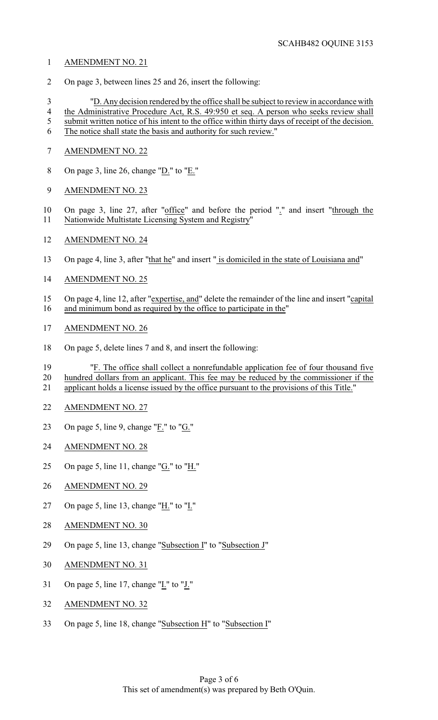- AMENDMENT NO. 21
- On page 3, between lines 25 and 26, insert the following:

 "D. Any decision rendered by the office shall be subject to review in accordance with the Administrative Procedure Act, R.S. 49:950 et seq. A person who seeks review shall 5 submit written notice of his intent to the office within thirty days of receipt of the decision.

- The notice shall state the basis and authority for such review."
- AMENDMENT NO. 22
- On page 3, line 26, change "D." to "E."
- AMENDMENT NO. 23

10 On page 3, line 27, after "office" and before the period "." and insert "through the 11 Nationwide Multistate Licensing System and Registry"

- AMENDMENT NO. 24
- 13 On page 4, line 3, after "that he" and insert " is domiciled in the state of Louisiana and"
- AMENDMENT NO. 25
- 15 On page 4, line 12, after "expertise, and" delete the remainder of the line and insert "capital 16 and minimum bond as required by the office to participate in the"
- AMENDMENT NO. 26
- On page 5, delete lines 7 and 8, and insert the following:

 "F. The office shall collect a nonrefundable application fee of four thousand five hundred dollars from an applicant. This fee may be reduced by the commissioner if the applicant holds a license issued by the office pursuant to the provisions of this Title."

- AMENDMENT NO. 27
- On page 5, line 9, change "F." to "G."
- AMENDMENT NO. 28
- On page 5, line 11, change "G." to "H."
- AMENDMENT NO. 29
- 27 On page 5, line 13, change " $H''$  to " $L''$
- AMENDMENT NO. 30
- On page 5, line 13, change "Subsection I" to "Subsection J"
- AMENDMENT NO. 31
- On page 5, line 17, change "I." to "J."
- AMENDMENT NO. 32
- On page 5, line 18, change "Subsection H" to "Subsection I"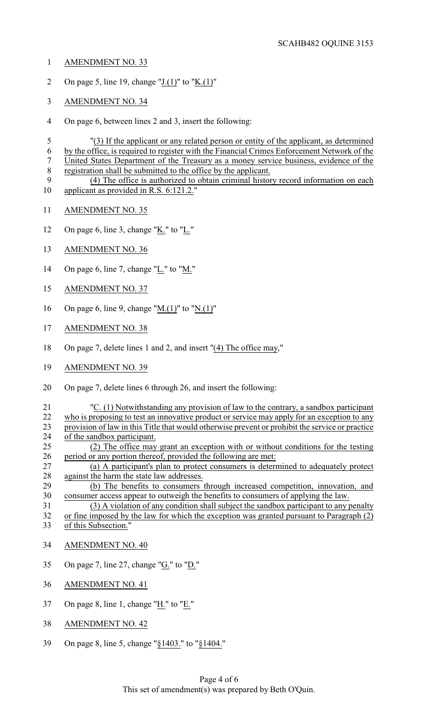- AMENDMENT NO. 33
- 2 On page 5, line 19, change " $J(1)$ " to " $K(1)$ "
- AMENDMENT NO. 34
- On page 6, between lines 2 and 3, insert the following:

 "(3) If the applicant or any related person or entity of the applicant, as determined by the office, is required to register with the Financial Crimes Enforcement Network of the United States Department of the Treasury as a money service business, evidence of the registration shall be submitted to the office by the applicant.

- (4) The office is authorized to obtain criminal history record information on each applicant as provided in R.S. 6:121.2."
- AMENDMENT NO. 35
- On page 6, line 3, change "K." to "L."
- AMENDMENT NO. 36
- 14 On page 6, line 7, change " $L$ ." to " $M$ ."
- AMENDMENT NO. 37
- On page 6, line 9, change "M.(1)" to "N.(1)"
- AMENDMENT NO. 38
- On page 7, delete lines 1 and 2, and insert "(4) The office may,"
- AMENDMENT NO. 39
- On page 7, delete lines 6 through 26, and insert the following:

21 "C. (1) Notwithstanding any provision of law to the contrary, a sandbox participant 22 who is proposing to test an innovative product or service may apply for an exception to any 22 who is proposing to test an innovative product or service may apply for an exception to any<br>23 provision of law in this Title that would otherwise prevent or prohibit the service or practice 23 provision of law in this Title that would otherwise prevent or prohibit the service or practice<br>24 of the sandbox participant. of the sandbox participant. (2) The office may grant an exception with or without conditions for the testing 26 period or any portion thereof, provided the following are met:<br>27 (a) A participant's plan to protect consumers is determent

 (a) A participant's plan to protect consumers is determined to adequately protect 28 against the harm the state law addresses.<br>29 (b) The benefits to consumers in

 (b) The benefits to consumers through increased competition, innovation, and consumer access appear to outweigh the benefits to consumers of applying the law.

 (3) A violation of any condition shall subject the sandbox participant to any penalty or fine imposed by the law for which the exception was granted pursuant to Paragraph (2) of this Subsection."

- AMENDMENT NO. 40
- On page 7, line 27, change "G." to "D."
- AMENDMENT NO. 41
- On page 8, line 1, change "H." to "E."
- AMENDMENT NO. 42
- On page 8, line 5, change "§1403." to "§1404."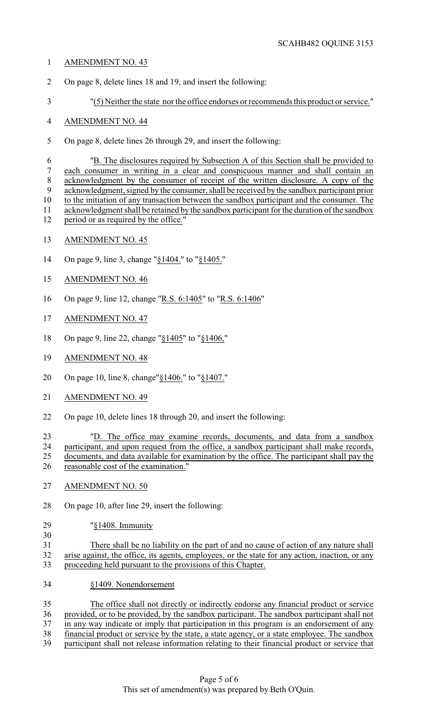## AMENDMENT NO. 43

- On page 8, delete lines 18 and 19, and insert the following:
- "(5) Neither the state nor the office endorses or recommends this product or service."

## AMENDMENT NO. 44

On page 8, delete lines 26 through 29, and insert the following:

 "B. The disclosures required by Subsection A of this Section shall be provided to each consumer in writing in a clear and conspicuous manner and shall contain an acknowledgment by the consumer of receipt of the written disclosure. A copy of the acknowledgment, signed by the consumer, shall be received by the sandbox participant prior to the initiation of any transaction between the sandbox participant and the consumer. The acknowledgment shall be retained by the sandbox participant for the duration of the sandbox 12 period or as required by the office."

- AMENDMENT NO. 45
- On page 9, line 3, change "§1404." to "§1405."
- AMENDMENT NO. 46
- On page 9, line 12, change "R.S. 6:1405" to "R.S. 6:1406"
- AMENDMENT NO. 47
- On page 9, line 22, change "§1405" to "§1406,"
- AMENDMENT NO. 48
- On page 10, line 8, change"§1406." to "§1407."
- AMENDMENT NO. 49
- On page 10, delete lines 18 through 20, and insert the following:
- "D. The office may examine records, documents, and data from a sandbox participant, and upon request from the office, a sandbox participant shall make records, documents, and data available for examination by the office. The participant shall pay the reasonable cost of the examination."
- AMENDMENT NO. 50
- On page 10, after line 29, insert the following:
- "§1408. Immunity
- 

 There shall be no liability on the part of and no cause of action of any nature shall arise against, the office, its agents, employees, or the state for any action, inaction, or any proceeding held pursuant to the provisions of this Chapter.

§1409. Nonendorsement

 The office shall not directly or indirectly endorse any financial product or service provided, or to be provided, by the sandbox participant. The sandbox participant shall not in any way indicate or imply that participation in this program is an endorsement of any 38 financial product or service by the state, a state agency, or a state employee. The sandbox<br>39 participant shall not release information relating to their financial product or service that participant shall not release information relating to their financial product or service that